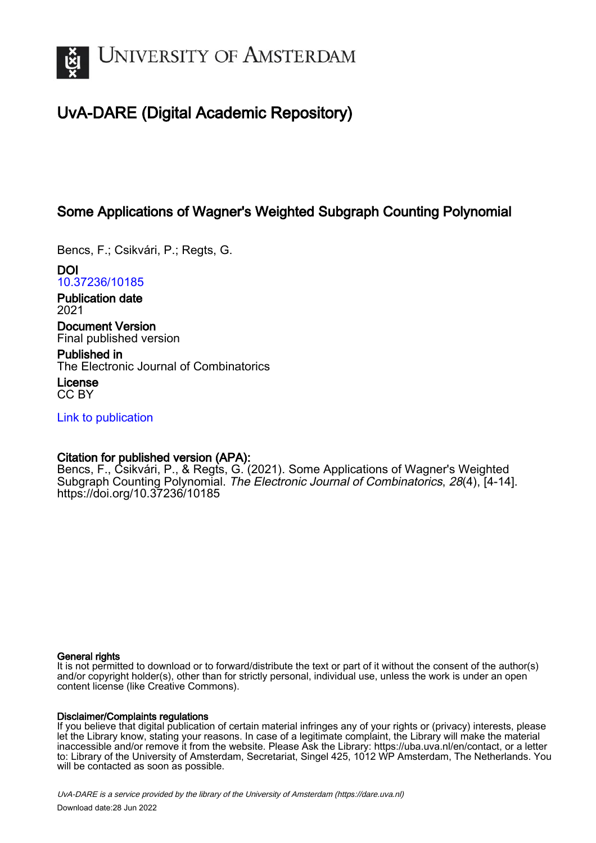

# UvA-DARE (Digital Academic Repository)

## Some Applications of Wagner's Weighted Subgraph Counting Polynomial

Bencs, F.; Csikvári, P.; Regts, G.

DOI [10.37236/10185](https://doi.org/10.37236/10185)

Publication date 2021

Document Version Final published version

Published in The Electronic Journal of Combinatorics

License CC BY

[Link to publication](https://dare.uva.nl/personal/pure/en/publications/some-applications-of-wagners-weighted-subgraph-counting-polynomial(4d70fd4b-777a-4195-b65d-654d80dea62c).html)

## Citation for published version (APA):

Bencs, F., Csikvári, P., & Regts, G. (2021). Some Applications of Wagner's Weighted Subgraph Counting Polynomial. The Electronic Journal of Combinatorics, 28(4), [4-14]. <https://doi.org/10.37236/10185>

#### General rights

It is not permitted to download or to forward/distribute the text or part of it without the consent of the author(s) and/or copyright holder(s), other than for strictly personal, individual use, unless the work is under an open content license (like Creative Commons).

#### Disclaimer/Complaints regulations

If you believe that digital publication of certain material infringes any of your rights or (privacy) interests, please let the Library know, stating your reasons. In case of a legitimate complaint, the Library will make the material inaccessible and/or remove it from the website. Please Ask the Library: https://uba.uva.nl/en/contact, or a letter to: Library of the University of Amsterdam, Secretariat, Singel 425, 1012 WP Amsterdam, The Netherlands. You will be contacted as soon as possible.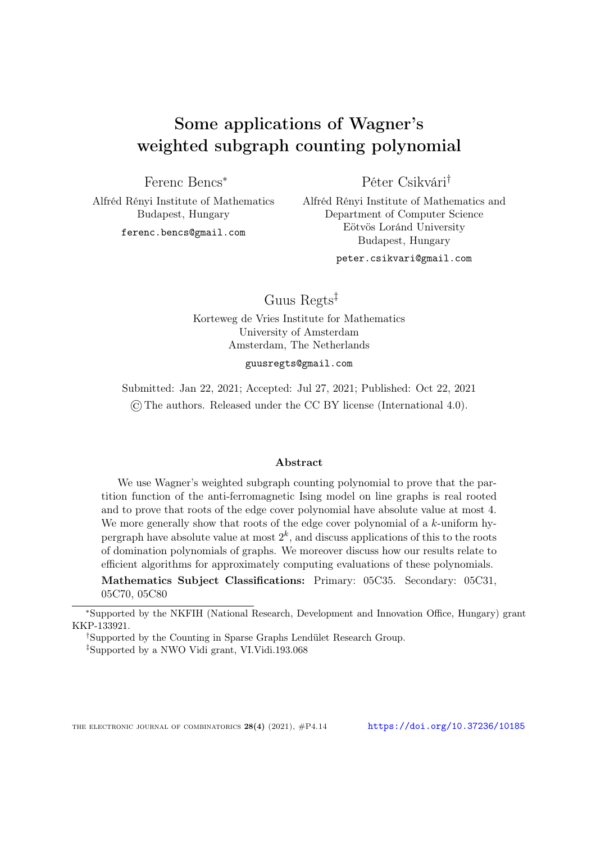# Some applications of Wagner's weighted subgraph counting polynomial

Ferenc Bencs<sup>∗</sup>

Alfréd Rényi Institute of Mathematics Budapest, Hungary

ferenc.bencs@gmail.com

Péter Csikvári†

Alfréd Rényi Institute of Mathematics and Department of Computer Science Eötvös Loránd University Budapest, Hungary

peter.csikvari@gmail.com

Guus Regts‡

Korteweg de Vries Institute for Mathematics University of Amsterdam Amsterdam, The Netherlands

guusregts@gmail.com

Submitted: Jan 22, 2021; Accepted: Jul 27, 2021; Published: Oct 22, 2021 ©The authors. Released under the CC BY license (International 4.0).

#### Abstract

We use Wagner's weighted subgraph counting polynomial to prove that the partition function of the anti-ferromagnetic Ising model on line graphs is real rooted and to prove that roots of the edge cover polynomial have absolute value at most 4. We more generally show that roots of the edge cover polynomial of a k-uniform hypergraph have absolute value at most  $2^k$ , and discuss applications of this to the roots of domination polynomials of graphs. We moreover discuss how our results relate to efficient algorithms for approximately computing evaluations of these polynomials.

Mathematics Subject Classifications: Primary: 05C35. Secondary: 05C31, 05C70, 05C80

<sup>∗</sup>Supported by the NKFIH (National Research, Development and Innovation Office, Hungary) grant KKP-133921.

†Supported by the Counting in Sparse Graphs Lendület Research Group.

‡Supported by a NWO Vidi grant, VI.Vidi.193.068

THE ELECTRONIC JOURNAL OF COMBINATORICS  $28(4)$  (2021),  $\#P4.14$  <https://doi.org/10.37236/10185>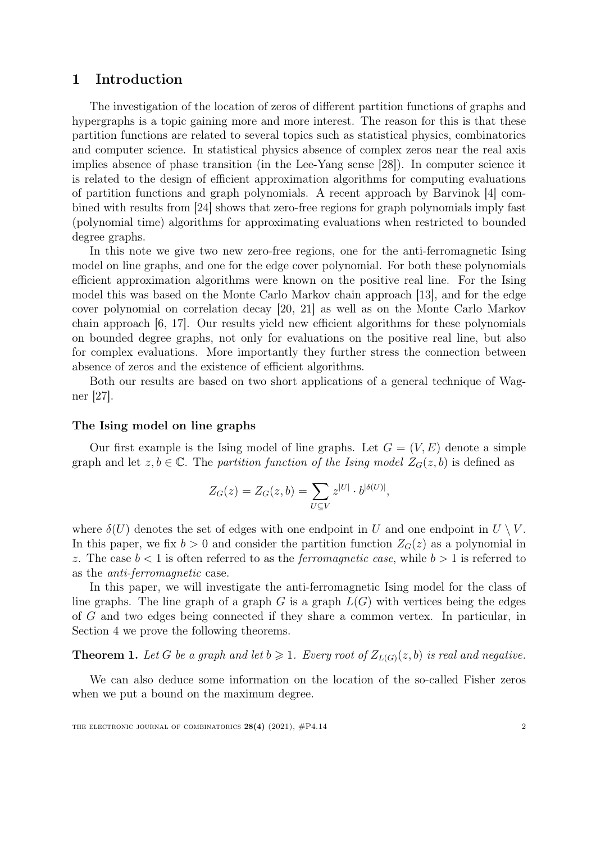## 1 Introduction

The investigation of the location of zeros of different partition functions of graphs and hypergraphs is a topic gaining more and more interest. The reason for this is that these partition functions are related to several topics such as statistical physics, combinatorics and computer science. In statistical physics absence of complex zeros near the real axis implies absence of phase transition (in the Lee-Yang sense [\[28\]](#page-21-0)). In computer science it is related to the design of efficient approximation algorithms for computing evaluations of partition functions and graph polynomials. A recent approach by Barvinok [\[4\]](#page-20-0) combined with results from [\[24\]](#page-21-1) shows that zero-free regions for graph polynomials imply fast (polynomial time) algorithms for approximating evaluations when restricted to bounded degree graphs.

In this note we give two new zero-free regions, one for the anti-ferromagnetic Ising model on line graphs, and one for the edge cover polynomial. For both these polynomials efficient approximation algorithms were known on the positive real line. For the Ising model this was based on the Monte Carlo Markov chain approach [\[13\]](#page-20-1), and for the edge cover polynomial on correlation decay [\[20,](#page-21-2) [21\]](#page-21-3) as well as on the Monte Carlo Markov chain approach [\[6,](#page-20-2) [17\]](#page-21-4). Our results yield new efficient algorithms for these polynomials on bounded degree graphs, not only for evaluations on the positive real line, but also for complex evaluations. More importantly they further stress the connection between absence of zeros and the existence of efficient algorithms.

Both our results are based on two short applications of a general technique of Wagner [\[27\]](#page-21-5).

#### The Ising model on line graphs

Our first example is the Ising model of line graphs. Let  $G = (V, E)$  denote a simple graph and let  $z, b \in \mathbb{C}$ . The partition function of the Ising model  $Z_G(z, b)$  is defined as

$$
Z_G(z) = Z_G(z, b) = \sum_{U \subseteq V} z^{|U|} \cdot b^{|{\delta(U)}|},
$$

where  $\delta(U)$  denotes the set of edges with one endpoint in U and one endpoint in  $U \setminus V$ . In this paper, we fix  $b > 0$  and consider the partition function  $Z_G(z)$  as a polynomial in z. The case  $b < 1$  is often referred to as the *ferromagnetic case*, while  $b > 1$  is referred to as the anti-ferromagnetic case.

In this paper, we will investigate the anti-ferromagnetic Ising model for the class of line graphs. The line graph of a graph  $G$  is a graph  $L(G)$  with vertices being the edges of G and two edges being connected if they share a common vertex. In particular, in Section [4](#page-14-0) we prove the following theorems.

<span id="page-2-0"></span>**Theorem 1.** Let G be a graph and let  $b \ge 1$ . Every root of  $Z_{L(G)}(z, b)$  is real and negative.

We can also deduce some information on the location of the so-called Fisher zeros when we put a bound on the maximum degree.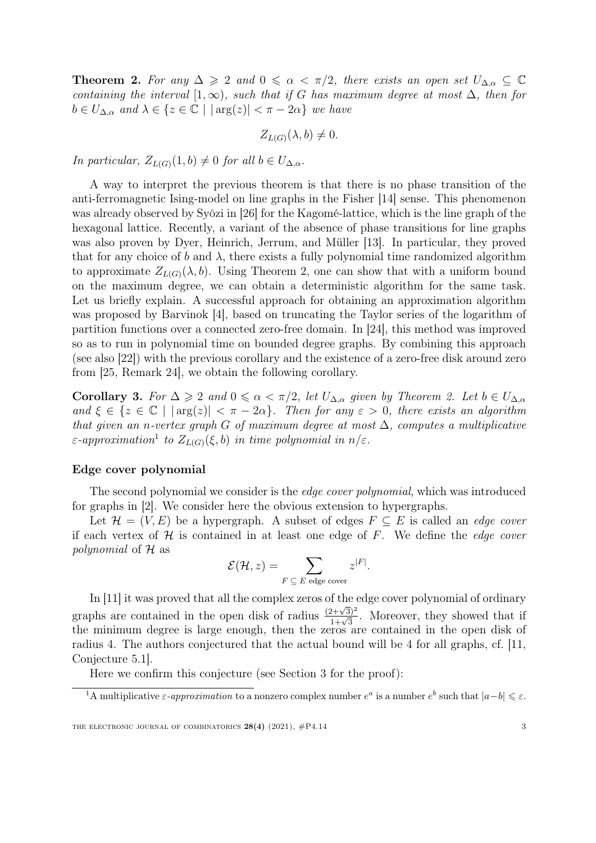<span id="page-3-0"></span>**Theorem 2.** For any  $\Delta \geq 2$  and  $0 \leq \alpha < \pi/2$ , there exists an open set  $U_{\Delta,\alpha} \subseteq \mathbb{C}$ containing the interval  $[1,\infty)$ , such that if G has maximum degree at most  $\Delta$ , then for  $b \in U_{\Delta,\alpha}$  and  $\lambda \in \{z \in \mathbb{C} \mid |\arg(z)| < \pi - 2\alpha\}$  we have

$$
Z_{L(G)}(\lambda, b) \neq 0.
$$

In particular,  $Z_{L(G)}(1, b) \neq 0$  for all  $b \in U_{\Delta, \alpha}$ .

A way to interpret the previous theorem is that there is no phase transition of the anti-ferromagnetic Ising-model on line graphs in the Fisher [\[14\]](#page-21-6) sense. This phenomenon was already observed by Syôzi in [\[26\]](#page-21-7) for the Kagomé-lattice, which is the line graph of the hexagonal lattice. Recently, a variant of the absence of phase transitions for line graphs was also proven by Dyer, Heinrich, Jerrum, and Müller [\[13\]](#page-20-1). In particular, they proved that for any choice of b and  $\lambda$ , there exists a fully polynomial time randomized algorithm to approximate  $Z_{L(G)}(\lambda, b)$ . Using Theorem [2,](#page-3-0) one can show that with a uniform bound on the maximum degree, we can obtain a deterministic algorithm for the same task. Let us briefly explain. A successful approach for obtaining an approximation algorithm was proposed by Barvinok [\[4\]](#page-20-0), based on truncating the Taylor series of the logarithm of partition functions over a connected zero-free domain. In [\[24\]](#page-21-1), this method was improved so as to run in polynomial time on bounded degree graphs. By combining this approach (see also [\[22\]](#page-21-8)) with the previous corollary and the existence of a zero-free disk around zero from [\[25,](#page-21-9) Remark 24], we obtain the following corollary.

<span id="page-3-2"></span>**Corollary 3.** For  $\Delta \geq 2$  and  $0 \leq \alpha < \pi/2$ , let  $U_{\Delta,\alpha}$  given by Theorem [2.](#page-3-0) Let  $b \in U_{\Delta,\alpha}$ and  $\xi \in \{z \in \mathbb{C} \mid |\arg(z)| < \pi - 2\alpha\}$ . Then for any  $\varepsilon > 0$ , there exists an algorithm that given an n-vertex graph G of maximum degree at most  $\Delta$ , computes a multiplicative  $\varepsilon$ -approximation<sup>[1](#page-3-1)</sup> to  $Z_{L(G)}(\xi, b)$  in time polynomial in  $n/\varepsilon$ .

#### Edge cover polynomial

The second polynomial we consider is the *edge cover polynomial*, which was introduced for graphs in [\[2\]](#page-20-3). We consider here the obvious extension to hypergraphs.

Let  $\mathcal{H} = (V, E)$  be a hypergraph. A subset of edges  $F \subseteq E$  is called an *edge cover* if each vertex of  $H$  is contained in at least one edge of  $F$ . We define the *edge cover* polynomial of H as

$$
\mathcal{E}(\mathcal{H}, z) = \sum_{F \subset E \text{ edge cover}} z^{|F|}.
$$

In [\[11\]](#page-20-4) it was proved that all the complex zeros of the edge cover polynomial of ordinary graphs are contained in the open disk of radius  $\frac{(2+\sqrt{3})^2}{1+\sqrt{3}}$ . Moreover, they showed that if the minimum degree is large enough, then the zeros are contained in the open disk of radius 4. The authors conjectured that the actual bound will be 4 for all graphs, cf. [\[11,](#page-20-4) Conjecture 5.1].

Here we confirm this conjecture (see Section [3](#page-8-0) for the proof):

<span id="page-3-1"></span><sup>&</sup>lt;sup>1</sup>A multiplicative  $\varepsilon$ -approximation to a nonzero complex number  $e^a$  is a number  $e^b$  such that  $|a-b| \leqslant \varepsilon$ .

THE ELECTRONIC JOURNAL OF COMBINATORICS  $28(4)$  (2021),  $\#P4.14$  3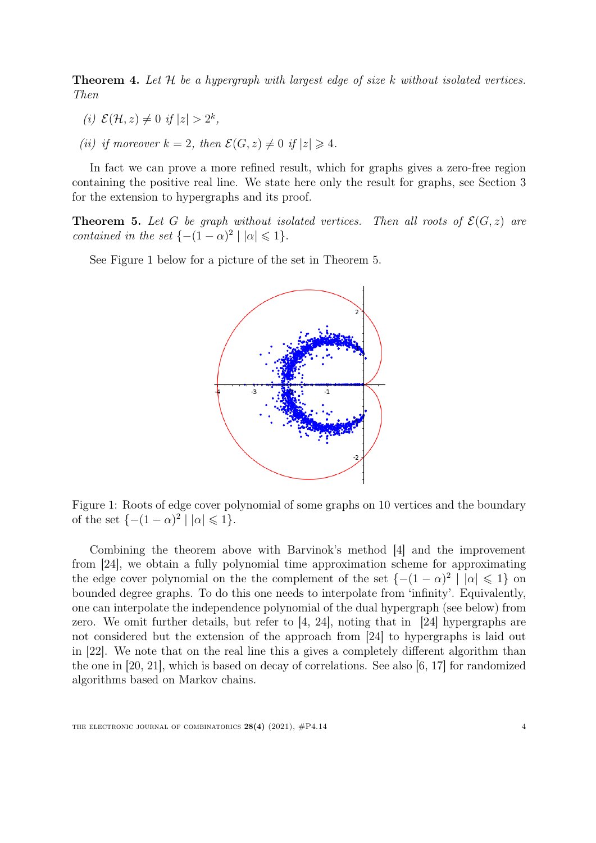<span id="page-4-2"></span>**Theorem 4.** Let  $H$  be a hypergraph with largest edge of size k without isolated vertices. Then

- (i)  $\mathcal{E}(\mathcal{H}, z) \neq 0$  if  $|z| > 2^k$ ,
- (ii) if moreover  $k = 2$ , then  $\mathcal{E}(G, z) \neq 0$  if  $|z| \geq 4$ .

In fact we can prove a more refined result, which for graphs gives a zero-free region containing the positive real line. We state here only the result for graphs, see Section [3](#page-8-0) for the extension to hypergraphs and its proof.

<span id="page-4-1"></span>**Theorem 5.** Let G be graph without isolated vertices. Then all roots of  $\mathcal{E}(G, z)$  are contained in the set  $\{-(1-\alpha)^2 \mid |\alpha| \leq 1\}.$ 

<span id="page-4-0"></span>See Figure [1](#page-4-0) below for a picture of the set in Theorem [5.](#page-4-1)



Figure 1: Roots of edge cover polynomial of some graphs on 10 vertices and the boundary of the set  $\{-(1-\alpha)^2 \mid |\alpha| \leq 1\}.$ 

Combining the theorem above with Barvinok's method [\[4\]](#page-20-0) and the improvement from [\[24\]](#page-21-1), we obtain a fully polynomial time approximation scheme for approximating the edge cover polynomial on the the complement of the set  $\{-(1-\alpha)^2 \mid |\alpha| \leq 1\}$  on bounded degree graphs. To do this one needs to interpolate from 'infinity'. Equivalently, one can interpolate the independence polynomial of the dual hypergraph (see below) from zero. We omit further details, but refer to [\[4,](#page-20-0) [24\]](#page-21-1), noting that in [\[24\]](#page-21-1) hypergraphs are not considered but the extension of the approach from [\[24\]](#page-21-1) to hypergraphs is laid out in [\[22\]](#page-21-8). We note that on the real line this a gives a completely different algorithm than the one in [\[20,](#page-21-2) [21\]](#page-21-3), which is based on decay of correlations. See also [\[6,](#page-20-2) [17\]](#page-21-4) for randomized algorithms based on Markov chains.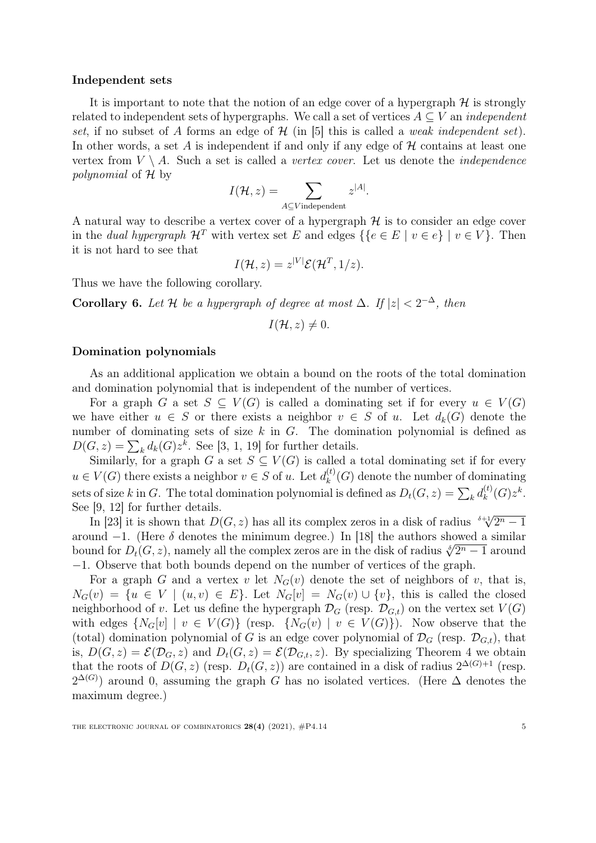#### Independent sets

It is important to note that the notion of an edge cover of a hypergraph  $H$  is strongly related to independent sets of hypergraphs. We call a set of vertices  $A \subseteq V$  an *independent* set, if no subset of A forms an edge of  $\mathcal{H}$  (in [\[5\]](#page-20-5) this is called a *weak independent set*). In other words, a set A is independent if and only if any edge of  $H$  contains at least one vertex from  $V \setminus A$ . Such a set is called a *vertex cover*. Let us denote the *independence* polynomial of H by

$$
I(\mathcal{H}, z) = \sum_{A \subseteq V \text{ independent}} z^{|A|}.
$$

A natural way to describe a vertex cover of a hypergraph  $H$  is to consider an edge cover in the dual hypergraph  $\mathcal{H}^T$  with vertex set E and edges  $\{ \{ e \in E \mid v \in e \} \mid v \in V \}$ . Then it is not hard to see that

$$
I(\mathcal{H},z) = z^{|V|} \mathcal{E}(\mathcal{H}^T,1/z).
$$

Thus we have the following corollary.

**Corollary 6.** Let H be a hypergraph of degree at most  $\Delta$ . If  $|z| < 2^{-\Delta}$ , then

$$
I(\mathcal{H},z)\neq 0.
$$

#### Domination polynomials

As an additional application we obtain a bound on the roots of the total domination and domination polynomial that is independent of the number of vertices.

For a graph G a set  $S \subseteq V(G)$  is called a dominating set if for every  $u \in V(G)$ we have either  $u \in S$  or there exists a neighbor  $v \in S$  of u. Let  $d_k(G)$  denote the number of dominating sets of size  $k$  in  $G$ . The domination polynomial is defined as  $D(G, z) = \sum_{k} d_k(G) z^k$ . See [\[3,](#page-20-6) [1,](#page-20-7) [19\]](#page-21-10) for further details.

Similarly, for a graph G a set  $S \subseteq V(G)$  is called a total dominating set if for every  $u \in V(G)$  there exists a neighbor  $v \in S$  of u. Let  $d_k^{(t)}$  $\chi_k^{(t)}(G)$  denote the number of dominating sets of size k in G. The total domination polynomial is defined as  $D_t(G, z) = \sum_k d_k^{(t)}$  $\kappa_k^{(t)}(G)z^k.$ See [\[9,](#page-20-8) [12\]](#page-20-9) for further details.

[9, 12] for further details.<br>In [\[23\]](#page-21-11) it is shown that  $D(G, z)$  has all its complex zeros in a disk of radius  $\sqrt[5]{2^n - 1}$ around  $-1$ . (Here  $\delta$  denotes the minimum degree.) In [\[18\]](#page-21-12) the authors showed a similar around  $-1$ . (Here *o* denotes the minimum degree.) In [18] the authors showed a similar bound for  $D_t(G, z)$ , namely all the complex zeros are in the disk of radius  $\sqrt[3]{2^n - 1}$  around −1. Observe that both bounds depend on the number of vertices of the graph.

For a graph G and a vertex v let  $N_G(v)$  denote the set of neighbors of v, that is,  $N_G(v) = \{u \in V \mid (u, v) \in E\}.$  Let  $N_G[v] = N_G(v) \cup \{v\}$ , this is called the closed neighborhood of v. Let us define the hypergraph  $\mathcal{D}_G$  (resp.  $\mathcal{D}_{G,t}$ ) on the vertex set  $V(G)$ with edges  $\{N_G[v] \mid v \in V(G)\}$  (resp.  $\{N_G(v) \mid v \in V(G)\}\)$ ). Now observe that the (total) domination polynomial of G is an edge cover polynomial of  $\mathcal{D}_G$  (resp.  $\mathcal{D}_{G,t}$ ), that is,  $D(G, z) = \mathcal{E}(\mathcal{D}_G, z)$  and  $D_t(G, z) = \mathcal{E}(\mathcal{D}_{G,t}, z)$ . By specializing Theorem [4](#page-4-2) we obtain that the roots of  $D(G, z)$  (resp.  $D_t(G, z)$ ) are contained in a disk of radius  $2^{\Delta(G)+1}$  (resp.  $2^{\Delta(G)}$ ) around 0, assuming the graph G has no isolated vertices. (Here  $\Delta$  denotes the maximum degree.)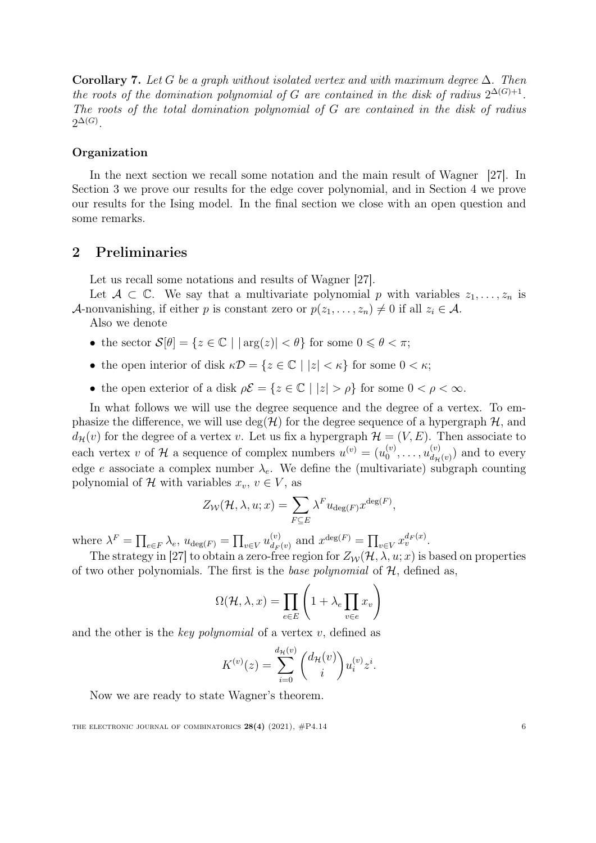**Corollary 7.** Let G be a graph without isolated vertex and with maximum degree  $\Delta$ . Then the roots of the domination polynomial of G are contained in the disk of radius  $2^{\Delta(G)+1}$ . The roots of the total domination polynomial of G are contained in the disk of radius  $2^{\Delta(G)}$ .

#### Organization

In the next section we recall some notation and the main result of Wagner [\[27\]](#page-21-5). In Section [3](#page-8-0) we prove our results for the edge cover polynomial, and in Section [4](#page-14-0) we prove our results for the Ising model. In the final section we close with an open question and some remarks.

## 2 Preliminaries

Let us recall some notations and results of Wagner [\[27\]](#page-21-5).

Let  $A \subset \mathbb{C}$ . We say that a multivariate polynomial p with variables  $z_1, \ldots, z_n$  is A-nonvanishing, if either p is constant zero or  $p(z_1, \ldots, z_n) \neq 0$  if all  $z_i \in A$ .

Also we denote

- the sector  $\mathcal{S}[\theta] = \{z \in \mathbb{C} \mid |\arg(z)| < \theta\}$  for some  $0 \leq \theta < \pi$ ;
- the open interior of disk  $\kappa \mathcal{D} = \{z \in \mathbb{C} \mid |z| < \kappa\}$  for some  $0 < \kappa$ ;
- the open exterior of a disk  $\rho \mathcal{E} = \{z \in \mathbb{C} \mid |z| > \rho\}$  for some  $0 < \rho < \infty$ .

In what follows we will use the degree sequence and the degree of a vertex. To emphasize the difference, we will use  $deg(\mathcal{H})$  for the degree sequence of a hypergraph  $\mathcal{H}$ , and  $d_{\mathcal{H}}(v)$  for the degree of a vertex v. Let us fix a hypergraph  $\mathcal{H} = (V, E)$ . Then associate to each vertex v of H a sequence of complex numbers  $u^{(v)} = (u_0^{(v)})$  $u_0^{(v)}, \ldots, u_{d_{\mathcal{H}}}^{(v)}$  $\binom{v}{d_{\mathcal{H}}(v)}$  and to every edge e associate a complex number  $\lambda_e$ . We define the (multivariate) subgraph counting polynomial of H with variables  $x_v, v \in V$ , as

$$
Z_{\mathcal{W}}(\mathcal{H}, \lambda, u; x) = \sum_{F \subseteq E} \lambda^F u_{\deg(F)} x^{\deg(F)},
$$

where  $\lambda^F = \prod_{e \in F} \lambda_e$ ,  $u_{\deg(F)} = \prod_{v \in V} u_{d_F}^{(v)}$  $\int_{dF(v)}^{(v)} \text{ and } x^{\deg(F)} = \prod_{v \in V} x_v^{d_F(x)}$ .

The strategy in [\[27\]](#page-21-5) to obtain a zero-free region for  $Z_W(\mathcal{H}, \lambda, u; x)$  is based on properties of two other polynomials. The first is the *base polynomial* of  $H$ , defined as,

$$
\Omega(\mathcal{H}, \lambda, x) = \prod_{e \in E} \left( 1 + \lambda_e \prod_{v \in e} x_v \right)
$$

and the other is the key polynomial of a vertex  $v$ , defined as

$$
K^{(v)}(z) = \sum_{i=0}^{d_{\mathcal{H}}(v)} \binom{d_{\mathcal{H}}(v)}{i} u_i^{(v)} z^i.
$$

Now we are ready to state Wagner's theorem.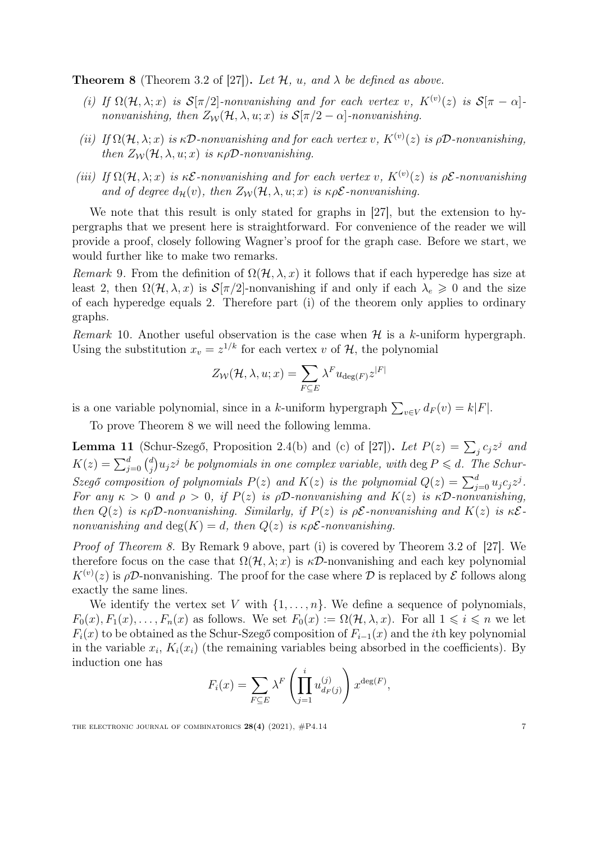<span id="page-7-0"></span>**Theorem 8** (Theorem 3.2 of [\[27\]](#page-21-5)). Let  $\mathcal{H}$ ,  $u$ , and  $\lambda$  be defined as above.

- (i) If  $\Omega(\mathcal{H},\lambda;x)$  is  $\mathcal{S}[\pi/2]$ -nonvanishing and for each vertex v,  $K^{(v)}(z)$  is  $\mathcal{S}[\pi-\alpha]$ nonvanishing, then  $Z_{\mathcal{W}}(\mathcal{H}, \lambda, u; x)$  is  $\mathcal{S}[\pi/2 - \alpha]$ -nonvanishing.
- (ii) If  $\Omega(\mathcal{H},\lambda;x)$  is  $\kappa\mathcal{D}$ -nonvanishing and for each vertex v,  $K^{(v)}(z)$  is  $\rho\mathcal{D}$ -nonvanishing, then  $Z_{\mathcal{W}}(\mathcal{H}, \lambda, u; x)$  is  $\kappa \rho \mathcal{D}$ -nonvanishing.
- (iii) If  $\Omega(\mathcal{H},\lambda;x)$  is  $\kappa \mathcal{E}$ -nonvanishing and for each vertex v,  $K^{(v)}(z)$  is  $\rho \mathcal{E}$ -nonvanishing and of degree  $d_{\mathcal{H}}(v)$ , then  $Z_{\mathcal{W}}(\mathcal{H}, \lambda, u; x)$  is  $\kappa \rho \mathcal{E}$ -nonvanishing.

We note that this result is only stated for graphs in [\[27\]](#page-21-5), but the extension to hypergraphs that we present here is straightforward. For convenience of the reader we will provide a proof, closely following Wagner's proof for the graph case. Before we start, we would further like to make two remarks.

<span id="page-7-1"></span>Remark 9. From the definition of  $\Omega(\mathcal{H}, \lambda, x)$  it follows that if each hyperedge has size at least 2, then  $\Omega(\mathcal{H}, \lambda, x)$  is  $\mathcal{S}[\pi/2]$ -nonvanishing if and only if each  $\lambda_e \geq 0$  and the size of each hyperedge equals 2. Therefore part (i) of the theorem only applies to ordinary graphs.

<span id="page-7-3"></span>Remark 10. Another useful observation is the case when  $\mathcal H$  is a k-uniform hypergraph. Using the substitution  $x_v = z^{1/k}$  for each vertex v of  $\mathcal{H}$ , the polynomial

$$
Z_{\mathcal{W}}(\mathcal{H}, \lambda, u; x) = \sum_{F \subseteq E} \lambda^F u_{\deg(F)} z^{|F|}
$$

is a one variable polynomial, since in a k-uniform hypergraph  $\sum_{v \in V} d_F(v) = k|F|$ .

To prove Theorem [8](#page-7-0) we will need the following lemma.

<span id="page-7-2"></span>**Lemma 11** (Schur-Szegő, Proposition 2.4(b) and (c) of [\[27\]](#page-21-5)). Let  $P(z) = \sum_j c_j z^j$  and  $K(z) = \sum_{j=0}^{d} {d \choose j}$  $\psi_j^d$ ) $u_jz^j$  be polynomials in one complex variable, with  $\deg P \leqslant d$ . The Schur-Szegő composition of polynomials  $P(z)$  and  $K(z)$  is the polynomial  $Q(z) = \sum_{j=0}^{d} u_j c_j z^j$ . For any  $\kappa > 0$  and  $\rho > 0$ , if  $P(z)$  is  $\rho \mathcal{D}$ -nonvanishing and  $K(z)$  is  $\kappa \mathcal{D}$ -nonvanishing, then  $Q(z)$  is  $\kappa \rho \mathcal{D}$ -nonvanishing. Similarly, if  $P(z)$  is  $\rho \mathcal{E}$ -nonvanishing and  $K(z)$  is  $\kappa \mathcal{E}$ nonvanishing and  $deg(K) = d$ , then  $Q(z)$  is  $\kappa \rho \mathcal{E}$ -nonvanishing.

Proof of Theorem [8.](#page-7-0) By Remark [9](#page-7-1) above, part (i) is covered by Theorem 3.2 of [\[27\]](#page-21-5). We therefore focus on the case that  $\Omega(\mathcal{H}, \lambda; x)$  is  $\kappa \mathcal{D}$ -nonvanishing and each key polynomial  $K^{(v)}(z)$  is  $\rho\mathcal{D}$ -nonvanishing. The proof for the case where  $\mathcal D$  is replaced by  $\mathcal E$  follows along exactly the same lines.

We identify the vertex set V with  $\{1, \ldots, n\}$ . We define a sequence of polynomials,  $F_0(x), F_1(x), \ldots, F_n(x)$  as follows. We set  $F_0(x) := \Omega(\mathcal{H}, \lambda, x)$ . For all  $1 \leq i \leq n$  we let  $F_i(x)$  to be obtained as the Schur-Szegő composition of  $F_{i-1}(x)$  and the *i*th key polynomial in the variable  $x_i$ ,  $K_i(x_i)$  (the remaining variables being absorbed in the coefficients). By induction one has

$$
F_i(x) = \sum_{F \subseteq E} \lambda^F \left( \prod_{j=1}^i u_{d_F(j)}^{(j)} \right) x^{\deg(F)},
$$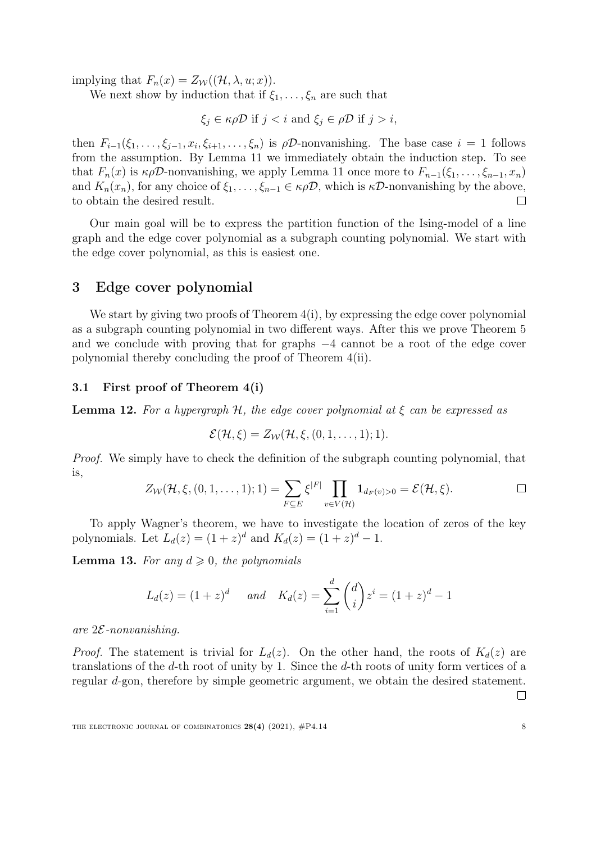implying that  $F_n(x) = Z_{\mathcal{W}}((\mathcal{H}, \lambda, u; x)).$ 

We next show by induction that if  $\xi_1, \ldots, \xi_n$  are such that

 $\xi_i \in \kappa \rho \mathcal{D}$  if  $j < i$  and  $\xi_j \in \rho \mathcal{D}$  if  $j > i$ ,

then  $F_{i-1}(\xi_1,\ldots,\xi_{j-1},x_i,\xi_{i+1},\ldots,\xi_n)$  is  $\rho\mathcal{D}$ -nonvanishing. The base case  $i=1$  follows from the assumption. By Lemma [11](#page-7-2) we immediately obtain the induction step. To see that  $F_n(x)$  is  $\kappa \rho \mathcal{D}$ -nonvanishing, we apply Lemma [11](#page-7-2) once more to  $F_{n-1}(\xi_1, \ldots, \xi_{n-1}, x_n)$ and  $K_n(x_n)$ , for any choice of  $\xi_1, \ldots, \xi_{n-1} \in \kappa \rho \mathcal{D}$ , which is  $\kappa \mathcal{D}$ -nonvanishing by the above, to obtain the desired result.  $\Box$ 

Our main goal will be to express the partition function of the Ising-model of a line graph and the edge cover polynomial as a subgraph counting polynomial. We start with the edge cover polynomial, as this is easiest one.

### <span id="page-8-0"></span>3 Edge cover polynomial

We start by giving two proofs of Theorem  $4(i)$  $4(i)$ , by expressing the edge cover polynomial as a subgraph counting polynomial in two different ways. After this we prove Theorem [5](#page-4-1) and we conclude with proving that for graphs −4 cannot be a root of the edge cover polynomial thereby concluding the proof of Theorem [4\(](#page-4-2)ii).

#### 3.1 First proof of Theorem [4\(](#page-4-2)i)

**Lemma 12.** For a hypergraph  $H$ , the edge cover polynomial at  $\xi$  can be expressed as

$$
\mathcal{E}(\mathcal{H},\xi)=Z_{\mathcal{W}}(\mathcal{H},\xi,(0,1,\ldots,1);1).
$$

Proof. We simply have to check the definition of the subgraph counting polynomial, that is,

$$
Z_{\mathcal{W}}(\mathcal{H},\xi,(0,1,\ldots,1);1)=\sum_{F\subseteq E}\xi^{|F|}\prod_{v\in V(\mathcal{H})}\mathbf{1}_{d_F(v)>0}=\mathcal{E}(\mathcal{H},\xi).
$$

To apply Wagner's theorem, we have to investigate the location of zeros of the key polynomials. Let  $L_d(z) = (1 + z)^d$  and  $K_d(z) = (1 + z)^d - 1$ .

<span id="page-8-1"></span>**Lemma 13.** For any  $d \geq 0$ , the polynomials

$$
L_d(z) = (1+z)^d
$$
 and  $K_d(z) = \sum_{i=1}^d {d \choose i} z^i = (1+z)^d - 1$ 

are  $2\mathcal{E}$ -nonvanishing.

*Proof.* The statement is trivial for  $L_d(z)$ . On the other hand, the roots of  $K_d(z)$  are translations of the d-th root of unity by 1. Since the d-th roots of unity form vertices of a regular d-gon, therefore by simple geometric argument, we obtain the desired statement.

 $\Box$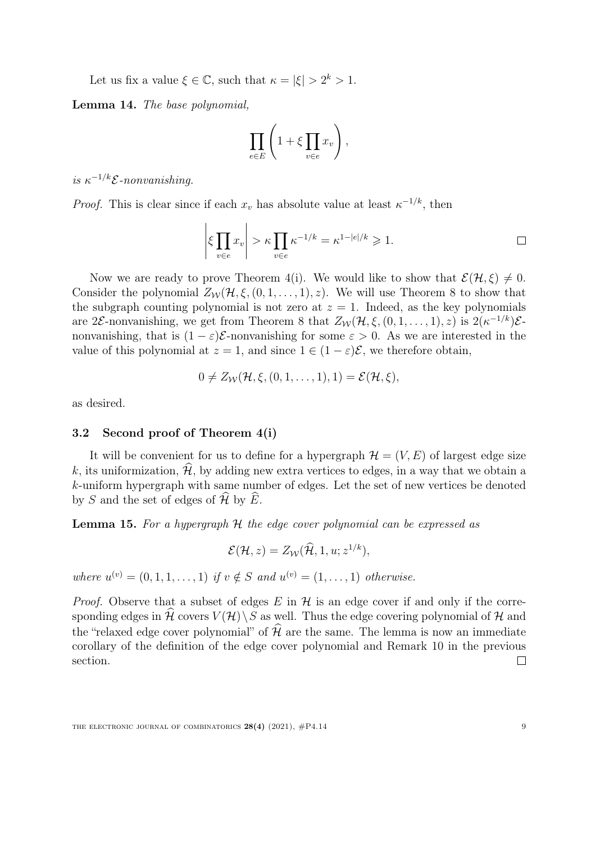Let us fix a value  $\xi \in \mathbb{C}$ , such that  $\kappa = |\xi| > 2^k > 1$ .

Lemma 14. The base polynomial,

$$
\prod_{e \in E} \left( 1 + \xi \prod_{v \in e} x_v \right),
$$

is  $\kappa^{-1/k} \mathcal{E}$ -nonvanishing.

*Proof.* This is clear since if each  $x_v$  has absolute value at least  $\kappa^{-1/k}$ , then

$$
\left|\xi \prod_{v \in e} x_v\right| > \kappa \prod_{v \in e} \kappa^{-1/k} = \kappa^{1-|e|/k} \geq 1.
$$

Now we are ready to prove Theorem [4\(](#page-4-2)i). We would like to show that  $\mathcal{E}(\mathcal{H}, \xi) \neq 0$ . Consider the polynomial  $Z_W(\mathcal{H}, \xi, (0, 1, \ldots, 1), z)$ . We will use Theorem [8](#page-7-0) to show that the subgraph counting polynomial is not zero at  $z = 1$ . Indeed, as the key polynomials are 2 $\mathcal{E}$ -nonvanishing, we get from Theorem [8](#page-7-0) that  $Z_W(\mathcal{H}, \xi, (0, 1, \ldots, 1), z)$  is  $2(\kappa^{-1/k})\mathcal{E}$ nonvanishing, that is  $(1 - \varepsilon)\mathcal{E}$ -nonvanishing for some  $\varepsilon > 0$ . As we are interested in the value of this polynomial at  $z = 1$ , and since  $1 \in (1 - \varepsilon)\mathcal{E}$ , we therefore obtain,

$$
0 \neq Z_{\mathcal{W}}(\mathcal{H}, \xi, (0, 1, \ldots, 1), 1) = \mathcal{E}(\mathcal{H}, \xi),
$$

as desired.

#### 3.2 Second proof of Theorem [4\(](#page-4-2)i)

It will be convenient for us to define for a hypergraph  $\mathcal{H} = (V, E)$  of largest edge size k, its uniformization,  $\hat{\mathcal{H}}$ , by adding new extra vertices to edges, in a way that we obtain a k-uniform hypergraph with same number of edges. Let the set of new vertices be denoted by S and the set of edges of  $\mathcal{\hat{H}}$  by  $\widehat{E}$ .

**Lemma 15.** For a hypergraph H the edge cover polynomial can be expressed as

$$
\mathcal{E}(\mathcal{H},z)=Z_{\mathcal{W}}(\widehat{\mathcal{H}},1,u;z^{1/k}),
$$

where  $u^{(v)} = (0, 1, 1, \dots, 1)$  if  $v \notin S$  and  $u^{(v)} = (1, \dots, 1)$  otherwise.

*Proof.* Observe that a subset of edges  $E$  in  $H$  is an edge cover if and only if the corresponding edges in H covers  $V(\mathcal{H})\backslash S$  as well. Thus the edge covering polynomial of H and the "relaxed edge cover polynomial" of  $\widehat{\mathcal{H}}$  are the same. The lemma is now an immediate corollary of the definition of the edge cover polynomial and Remark [10](#page-7-3) in the previous section.  $\Box$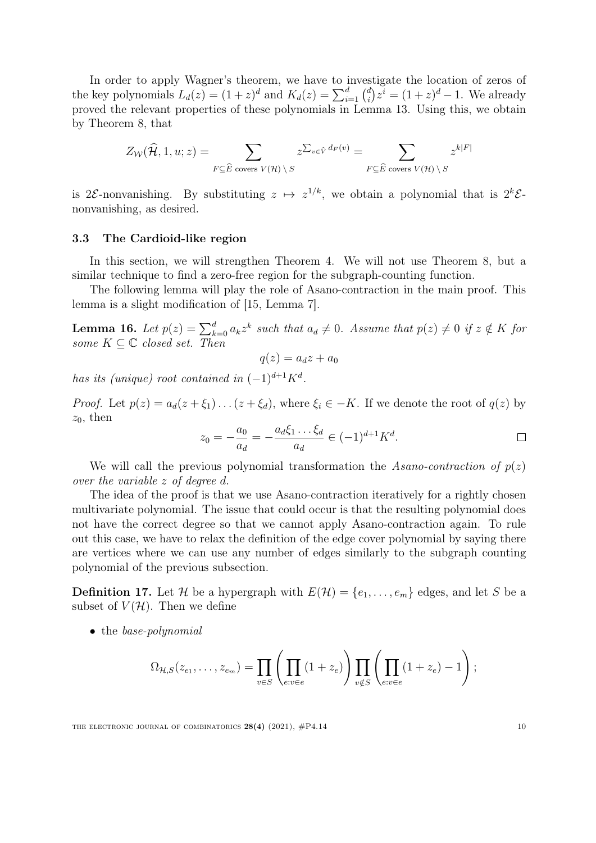In order to apply Wagner's theorem, we have to investigate the location of zeros of the key polynomials  $L_d(z) = (1+z)^d$  and  $K_d(z) = \sum_{i=1}^d {d \choose i}$  $j_i^d$   $z^i = (1 + z)^d - 1$ . We already proved the relevant properties of these polynomials in Lemma [13.](#page-8-1) Using this, we obtain by Theorem [8,](#page-7-0) that

$$
Z_{\mathcal{W}}(\widehat{\mathcal{H}}, 1, u; z) = \sum_{F \subseteq \widehat{E} \text{ covers } V(\mathcal{H}) \setminus S} z^{\sum_{v \in \widehat{V}} d_F(v)} = \sum_{F \subseteq \widehat{E} \text{ covers } V(\mathcal{H}) \setminus S} z^{k|F|}
$$

is 2 $\mathcal{E}$ -nonvanishing. By substituting  $z \mapsto z^{1/k}$ , we obtain a polynomial that is  $2^k \mathcal{E}$ nonvanishing, as desired.

#### 3.3 The Cardioid-like region

In this section, we will strengthen Theorem [4.](#page-4-2) We will not use Theorem [8,](#page-7-0) but a similar technique to find a zero-free region for the subgraph-counting function.

The following lemma will play the role of Asano-contraction in the main proof. This lemma is a slight modification of [\[15,](#page-21-13) Lemma 7].

<span id="page-10-0"></span>**Lemma 16.** Let  $p(z) = \sum_{k=0}^{d} a_k z^k$  such that  $a_d \neq 0$ . Assume that  $p(z) \neq 0$  if  $z \notin K$  for some  $K \subseteq \mathbb{C}$  closed set. Then

$$
q(z) = a_d z + a_0
$$

has its (unique) root contained in  $(-1)^{d+1}K^d$ .

*Proof.* Let  $p(z) = a_d(z + \xi_1) \dots (z + \xi_d)$ , where  $\xi_i \in -K$ . If we denote the root of  $q(z)$  by  $z_0$ , then

$$
z_0 = -\frac{a_0}{a_d} = -\frac{a_d \xi_1 \dots \xi_d}{a_d} \in (-1)^{d+1} K^d.
$$

We will call the previous polynomial transformation the Asano-contraction of  $p(z)$ over the variable z of degree d.

The idea of the proof is that we use Asano-contraction iteratively for a rightly chosen multivariate polynomial. The issue that could occur is that the resulting polynomial does not have the correct degree so that we cannot apply Asano-contraction again. To rule out this case, we have to relax the definition of the edge cover polynomial by saying there are vertices where we can use any number of edges similarly to the subgraph counting polynomial of the previous subsection.

**Definition 17.** Let H be a hypergraph with  $E(\mathcal{H}) = \{e_1, \ldots, e_m\}$  edges, and let S be a subset of  $V(\mathcal{H})$ . Then we define

• the base-polynomial

$$
\Omega_{\mathcal{H},S}(z_{e_1},\ldots,z_{e_m})=\prod_{v\in S}\left(\prod_{e:v\in e}(1+z_e)\right)\prod_{v\notin S}\left(\prod_{e:v\in e}(1+z_e)-1\right);
$$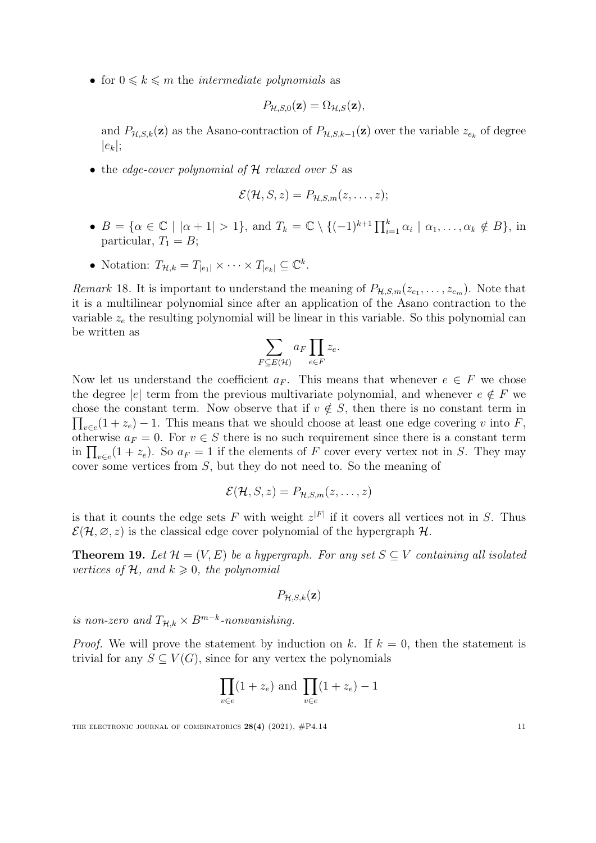• for  $0 \leq k \leq m$  the *intermediate polynomials* as

$$
P_{\mathcal{H},S,0}(\mathbf{z}) = \Omega_{\mathcal{H},S}(\mathbf{z}),
$$

and  $P_{\mathcal{H},S,k}(\mathbf{z})$  as the Asano-contraction of  $P_{\mathcal{H},S,k-1}(\mathbf{z})$  over the variable  $z_{e_k}$  of degree  $|e_k|$ ;

• the edge-cover polynomial of  $H$  relaxed over S as

$$
\mathcal{E}(\mathcal{H}, S, z) = P_{\mathcal{H}, S, m}(z, \ldots, z);
$$

- $B = \{ \alpha \in \mathbb{C} \mid |\alpha + 1| > 1 \}, \text{ and } T_k = \mathbb{C} \setminus \{ (-1)^{k+1} \prod_{i=1}^k \alpha_i \mid \alpha_1, \dots, \alpha_k \notin B \}, \text{ in }$ particular,  $T_1 = B$ ;
- Notation:  $T_{\mathcal{H},k} = T_{|e_1|} \times \cdots \times T_{|e_k|} \subseteq \mathbb{C}^k$ .

*Remark* 18. It is important to understand the meaning of  $P_{\mathcal{H},S,m}(z_{e_1},\ldots,z_{e_m})$ . Note that it is a multilinear polynomial since after an application of the Asano contraction to the variable  $z_e$  the resulting polynomial will be linear in this variable. So this polynomial can be written as

$$
\sum_{F \subseteq E(\mathcal{H})} a_F \prod_{e \in F} z_e.
$$

Now let us understand the coefficient  $a_F$ . This means that whenever  $e \in F$  we chose the degree |e| term from the previous multivariate polynomial, and whenever  $e \notin F$  we  $\prod_{v \in e} (1 + z_e) - 1$ . This means that we should choose at least one edge covering v into F, chose the constant term. Now observe that if  $v \notin S$ , then there is no constant term in otherwise  $a_F = 0$ . For  $v \in S$  there is no such requirement since there is a constant term in  $\prod_{v \in e} (1 + z_e)$ . So  $a_F = 1$  if the elements of F cover every vertex not in S. They may cover some vertices from S, but they do not need to. So the meaning of

$$
\mathcal{E}(\mathcal{H}, S, z) = P_{\mathcal{H}, S, m}(z, \ldots, z)
$$

is that it counts the edge sets F with weight  $z^{|F|}$  if it covers all vertices not in S. Thus  $\mathcal{E}(\mathcal{H}, \varnothing, z)$  is the classical edge cover polynomial of the hypergraph  $\mathcal{H}$ .

**Theorem 19.** Let  $\mathcal{H} = (V, E)$  be a hypergraph. For any set  $S \subseteq V$  containing all isolated vertices of  $H$ , and  $k \geqslant 0$ , the polynomial

$$
P_{\mathcal{H},S,k}(\mathbf{z})
$$

is non-zero and  $T_{\mathcal{H},k} \times B^{m-k}$ -nonvanishing.

*Proof.* We will prove the statement by induction on k. If  $k = 0$ , then the statement is trivial for any  $S \subseteq V(G)$ , since for any vertex the polynomials

$$
\prod_{v \in e} (1 + z_e) \text{ and } \prod_{v \in e} (1 + z_e) - 1
$$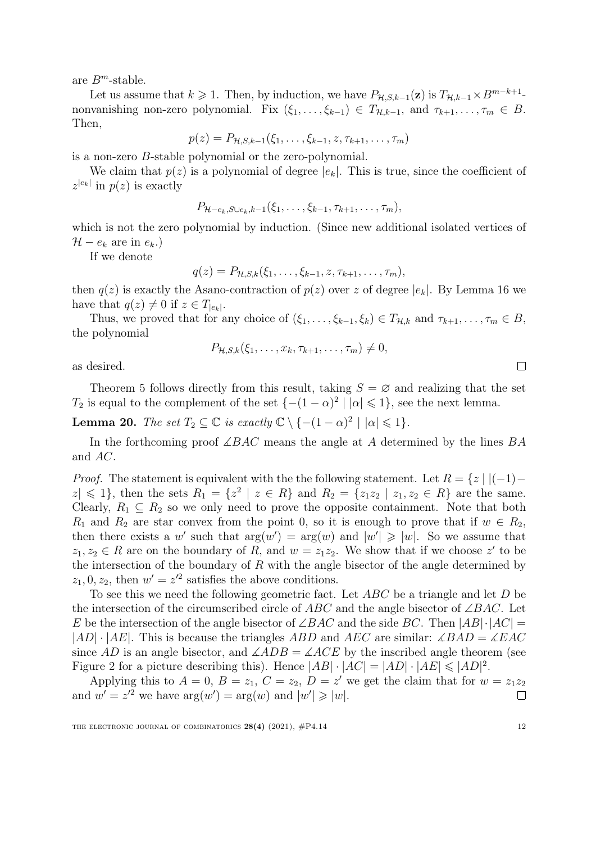are  $B^m$ -stable.

Let us assume that  $k \geq 1$ . Then, by induction, we have  $P_{\mathcal{H},S,k-1}(\mathbf{z})$  is  $T_{\mathcal{H},k-1} \times B^{m-k+1}$ . nonvanishing non-zero polynomial. Fix  $(\xi_1, \ldots, \xi_{k-1}) \in T_{\mathcal{H},k-1}$ , and  $\tau_{k+1}, \ldots, \tau_m \in B$ . Then,

 $p(z) = P_{\mathcal{H},S,k-1}(\xi_1,\ldots,\xi_{k-1},z,\tau_{k+1},\ldots,\tau_m)$ 

is a non-zero B-stable polynomial or the zero-polynomial.

We claim that  $p(z)$  is a polynomial of degree  $|e_k|$ . This is true, since the coefficient of  $z^{|e_k|}$  in  $p(z)$  is exactly

$$
P_{\mathcal{H}-e_k,S\cup e_k,k-1}(\xi_1,\ldots,\xi_{k-1},\tau_{k+1},\ldots,\tau_m),
$$

which is not the zero polynomial by induction. (Since new additional isolated vertices of  $\mathcal{H} - e_k$  are in  $e_k$ .)

If we denote

$$
q(z) = P_{\mathcal{H},S,k}(\xi_1,\ldots,\xi_{k-1},z,\tau_{k+1},\ldots,\tau_m),
$$

then  $q(z)$  is exactly the Asano-contraction of  $p(z)$  over z of degree  $|e_k|$ . By Lemma [16](#page-10-0) we have that  $q(z) \neq 0$  if  $z \in T_{|e_k|}$ .

Thus, we proved that for any choice of  $(\xi_1, \ldots, \xi_{k-1}, \xi_k) \in T_{\mathcal{H},k}$  and  $\tau_{k+1}, \ldots, \tau_m \in B$ , the polynomial

$$
P_{\mathcal{H},S,k}(\xi_1,\ldots,x_k,\tau_{k+1},\ldots,\tau_m)\neq 0,
$$

as desired.

Theorem [5](#page-4-1) follows directly from this result, taking  $S = \emptyset$  and realizing that the set T<sub>2</sub> is equal to the complement of the set  $\{-(1-\alpha)^2 \mid |\alpha| \leq 1\}$ , see the next lemma.

<span id="page-12-0"></span>**Lemma 20.** The set  $T_2 \subseteq \mathbb{C}$  is exactly  $\mathbb{C} \setminus \{-(1-\alpha)^2 \mid |\alpha| \leq 1\}$ .

In the forthcoming proof  $\angle BAC$  means the angle at A determined by the lines  $BA$ and AC.

*Proof.* The statement is equivalent with the the following statement. Let  $R = \{z \mid |(-1) |z| \leq 1$ , then the sets  $R_1 = \{z^2 | z \in R\}$  and  $R_2 = \{z_1z_2 | z_1, z_2 \in R\}$  are the same. Clearly,  $R_1 \subseteq R_2$  so we only need to prove the opposite containment. Note that both  $R_1$  and  $R_2$  are star convex from the point 0, so it is enough to prove that if  $w \in R_2$ , then there exists a w' such that  $arg(w') = arg(w)$  and  $|w'| \geq |w|$ . So we assume that  $z_1, z_2 \in R$  are on the boundary of R, and  $w = z_1 z_2$ . We show that if we choose z' to be the intersection of the boundary of  $R$  with the angle bisector of the angle determined by  $z_1$ , 0,  $z_2$ , then  $w' = z'^2$  satisfies the above conditions.

To see this we need the following geometric fact. Let ABC be a triangle and let D be the intersection of the circumscribed circle of ABC and the angle bisector of  $\angle BAC$ . Let E be the intersection of the angle bisector of  $\angle BAC$  and the side BC. Then  $|AB|\cdot|AC|$  =  $|AD| \cdot |AE|$ . This is because the triangles ABD and AEC are similar:  $\angle BAD = \angle EAC$ since AD is an angle bisector, and  $\angle ADB = \angle ACE$  by the inscribed angle theorem (see Figure [2](#page-13-0) for a picture describing this). Hence  $|AB| \cdot |AC| = |AD| \cdot |AE| \leq |AD|^2$ .

Applying this to  $A = 0$ ,  $B = z_1$ ,  $C = z_2$ ,  $D = z'$  we get the claim that for  $w = z_1z_2$ and  $w' = z'^2$  we have  $arg(w') = arg(w)$  and  $|w'| \geq |w|$ .  $\Box$ 

 $\Box$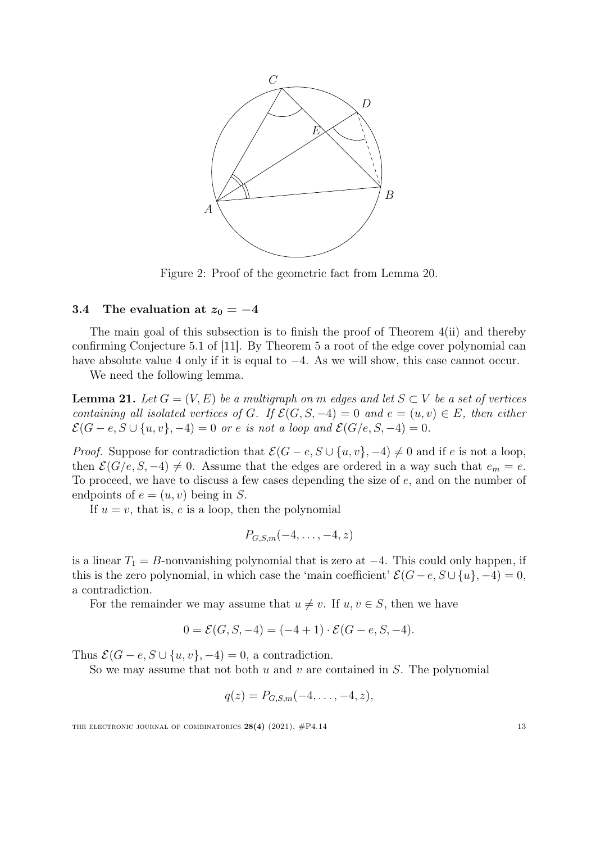<span id="page-13-0"></span>

Figure 2: Proof of the geometric fact from Lemma [20.](#page-12-0)

### 3.4 The evaluation at  $z_0 = -4$

The main goal of this subsection is to finish the proof of Theorem [4\(](#page-4-2)ii) and thereby confirming Conjecture 5.1 of [\[11\]](#page-20-4). By Theorem [5](#page-4-1) a root of the edge cover polynomial can have absolute value 4 only if it is equal to −4. As we will show, this case cannot occur.

We need the following lemma.

**Lemma 21.** Let  $G = (V, E)$  be a multigraph on m edges and let  $S \subset V$  be a set of vertices containing all isolated vertices of G. If  $\mathcal{E}(G, S, -4) = 0$  and  $e = (u, v) \in E$ , then either  $\mathcal{E}(G-e, S\cup \{u, v\}, -4) = 0$  or e is not a loop and  $\mathcal{E}(G/e, S, -4) = 0$ .

*Proof.* Suppose for contradiction that  $\mathcal{E}(G - e, S \cup \{u, v\}, -4) \neq 0$  and if e is not a loop, then  $\mathcal{E}(G/e, S, -4) \neq 0$ . Assume that the edges are ordered in a way such that  $e_m = e$ . To proceed, we have to discuss a few cases depending the size of e, and on the number of endpoints of  $e = (u, v)$  being in S.

If  $u = v$ , that is, e is a loop, then the polynomial

$$
P_{G,S,m}(-4,\ldots,-4,z)
$$

is a linear  $T_1 = B$ -nonvanishing polynomial that is zero at  $-4$ . This could only happen, if this is the zero polynomial, in which case the 'main coefficient'  $\mathcal{E}(G-e, S \cup \{u\}, -4) = 0$ , a contradiction.

For the remainder we may assume that  $u \neq v$ . If  $u, v \in S$ , then we have

$$
0 = \mathcal{E}(G, S, -4) = (-4 + 1) \cdot \mathcal{E}(G - e, S, -4).
$$

Thus  $\mathcal{E}(G - e, S \cup \{u, v\}, -4) = 0$ , a contradiction.

So we may assume that not both u and v are contained in  $S$ . The polynomial

$$
q(z) = P_{G,S,m}(-4,\ldots,-4,z),
$$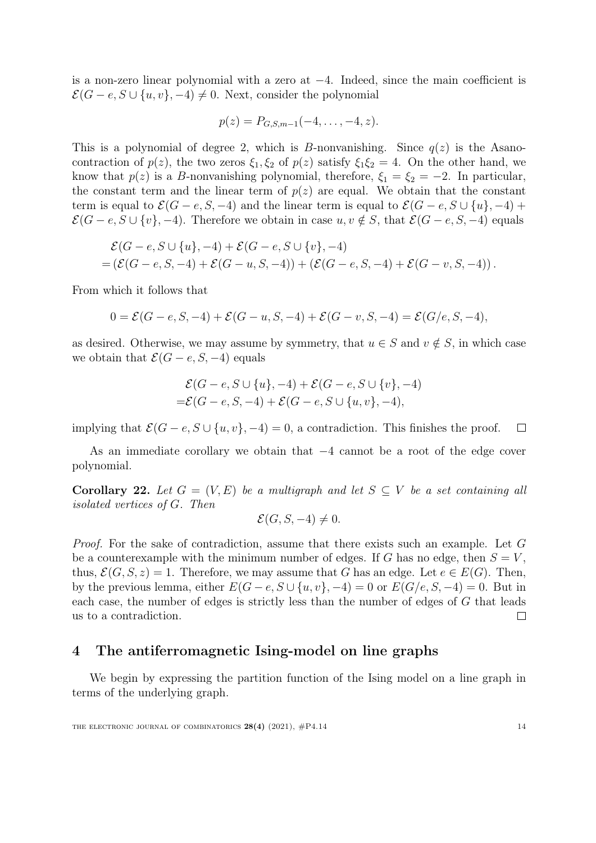is a non-zero linear polynomial with a zero at −4. Indeed, since the main coefficient is  $\mathcal{E}(G - e, S \cup \{u, v\}, -4) \neq 0$ . Next, consider the polynomial

$$
p(z) = P_{G,S,m-1}(-4,\ldots,-4,z).
$$

This is a polynomial of degree 2, which is B-nonvanishing. Since  $q(z)$  is the Asanocontraction of  $p(z)$ , the two zeros  $\xi_1, \xi_2$  of  $p(z)$  satisfy  $\xi_1 \xi_2 = 4$ . On the other hand, we know that  $p(z)$  is a B-nonvanishing polynomial, therefore,  $\xi_1 = \xi_2 = -2$ . In particular, the constant term and the linear term of  $p(z)$  are equal. We obtain that the constant term is equal to  $\mathcal{E}(G - e, S, -4)$  and the linear term is equal to  $\mathcal{E}(G - e, S \cup \{u\}, -4)$  +  $\mathcal{E}(G - e, S \cup \{v\}, -4)$ . Therefore we obtain in case  $u, v \notin S$ , that  $\mathcal{E}(G - e, S, -4)$  equals

$$
\mathcal{E}(G-e, S \cup \{u\}, -4) + \mathcal{E}(G-e, S \cup \{v\}, -4) = (\mathcal{E}(G-e, S, -4) + \mathcal{E}(G-u, S, -4)) + (\mathcal{E}(G-e, S, -4) + \mathcal{E}(G-v, S, -4)).
$$

From which it follows that

$$
0 = \mathcal{E}(G - e, S, -4) + \mathcal{E}(G - u, S, -4) + \mathcal{E}(G - v, S, -4) = \mathcal{E}(G/e, S, -4),
$$

as desired. Otherwise, we may assume by symmetry, that  $u \in S$  and  $v \notin S$ , in which case we obtain that  $\mathcal{E}(G - e, S, -4)$  equals

$$
\mathcal{E}(G - e, S \cup \{u\}, -4) + \mathcal{E}(G - e, S \cup \{v\}, -4) = \mathcal{E}(G - e, S, -4) + \mathcal{E}(G - e, S \cup \{u, v\}, -4),
$$

implying that  $\mathcal{E}(G - e, S \cup \{u, v\}, -4) = 0$ , a contradiction. This finishes the proof. П

As an immediate corollary we obtain that −4 cannot be a root of the edge cover polynomial.

Corollary 22. Let  $G = (V, E)$  be a multigraph and let  $S \subseteq V$  be a set containing all isolated vertices of G. Then

$$
\mathcal{E}(G, S, -4) \neq 0.
$$

Proof. For the sake of contradiction, assume that there exists such an example. Let G be a counterexample with the minimum number of edges. If G has no edge, then  $S = V$ , thus,  $\mathcal{E}(G, S, z) = 1$ . Therefore, we may assume that G has an edge. Let  $e \in E(G)$ . Then, by the previous lemma, either  $E(G-e, S\cup \{u, v\}, -4) = 0$  or  $E(G/e, S, -4) = 0$ . But in each case, the number of edges is strictly less than the number of edges of G that leads us to a contradiction.  $\Box$ 

## <span id="page-14-0"></span>4 The antiferromagnetic Ising-model on line graphs

We begin by expressing the partition function of the Ising model on a line graph in terms of the underlying graph.

THE ELECTRONIC JOURNAL OF COMBINATORICS  $28(4)$  (2021),  $\#P4.14$  14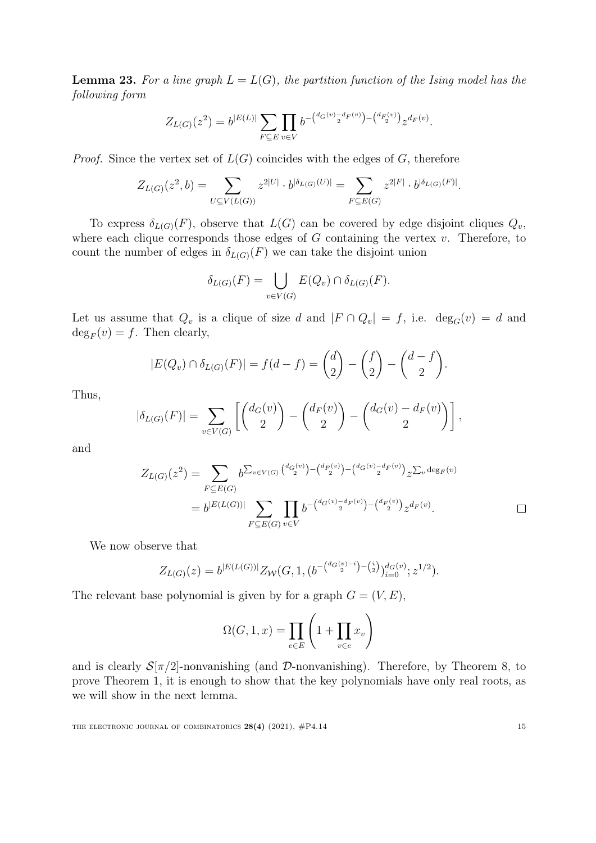<span id="page-15-0"></span>**Lemma 23.** For a line graph  $L = L(G)$ , the partition function of the Ising model has the following form

$$
Z_{L(G)}(z^2) = b^{|E(L)|} \sum_{F \subseteq E} \prod_{v \in V} b^{-\binom{d_G(v) - d_F(v)}{2} - \binom{d_F(v)}{2}} z^{d_F(v)}.
$$

*Proof.* Since the vertex set of  $L(G)$  coincides with the edges of G, therefore

$$
Z_{L(G)}(z^2, b) = \sum_{U \subseteq V(L(G))} z^{2|U|} \cdot b^{|\delta_{L(G)}(U)|} = \sum_{F \subseteq E(G)} z^{2|F|} \cdot b^{|\delta_{L(G)}(F)|}.
$$

To express  $\delta_{L(G)}(F)$ , observe that  $L(G)$  can be covered by edge disjoint cliques  $Q_v$ , where each clique corresponds those edges of  $G$  containing the vertex  $v$ . Therefore, to count the number of edges in  $\delta_{L(G)}(F)$  we can take the disjoint union

$$
\delta_{L(G)}(F) = \bigcup_{v \in V(G)} E(Q_v) \cap \delta_{L(G)}(F).
$$

Let us assume that  $Q_v$  is a clique of size d and  $|F \cap Q_v| = f$ , i.e.  $deg_G(v) = d$  and  $\deg_F(v) = f$ . Then clearly,

$$
|E(Q_v) \cap \delta_{L(G)}(F)| = f(d - f) = {d \choose 2} - {f \choose 2} - {d - f \choose 2}.
$$

Thus,

$$
|\delta_{L(G)}(F)| = \sum_{v \in V(G)} \left[ \binom{d_G(v)}{2} - \binom{d_F(v)}{2} - \binom{d_G(v) - d_F(v)}{2} \right],
$$

and

$$
Z_{L(G)}(z^2) = \sum_{F \subseteq E(G)} b^{\sum_{v \in V(G)} \binom{d_G(v)}{2} - \binom{d_F(v)}{2} - \binom{d_G(v) - d_F(v)}{2}} z^{\sum_v \deg_F(v)}
$$
  
=  $b^{|E(L(G))|} \sum_{F \subseteq E(G)} \prod_{v \in V} b^{-\binom{d_G(v) - d_F(v)}{2} - \binom{d_F(v)}{2}} z^{d_F(v)}.$ 

We now observe that

$$
Z_{L(G)}(z) = b^{|E(L(G))|} Z_W(G, 1, (b^{-\binom{d_G(v)-i}{2}-\binom{i}{2}})^{d_G(v)}_{i=0}; z^{1/2}).
$$

The relevant base polynomial is given by for a graph  $G = (V, E)$ ,

$$
\Omega(G, 1, x) = \prod_{e \in E} \left( 1 + \prod_{v \in e} x_v \right)
$$

and is clearly  $S[\pi/2]$ -nonvanishing (and  $\mathcal{D}$ -nonvanishing). Therefore, by Theorem [8,](#page-7-0) to prove Theorem [1,](#page-2-0) it is enough to show that the key polynomials have only real roots, as we will show in the next lemma.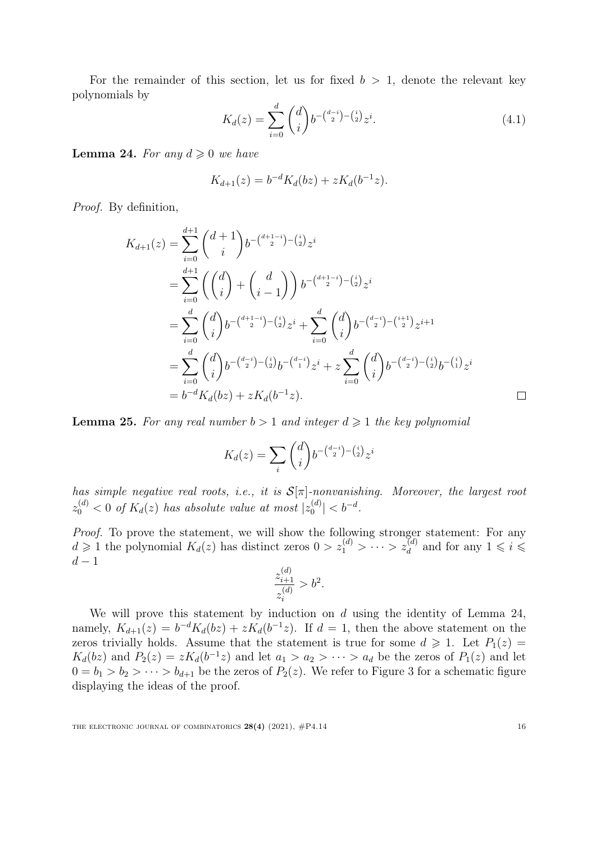For the remainder of this section, let us for fixed  $b > 1$ , denote the relevant key polynomials by

<span id="page-16-2"></span>
$$
K_d(z) = \sum_{i=0}^d \binom{d}{i} b^{-\binom{d-i}{2} - \binom{i}{2}} z^i.
$$
\n(4.1)

<span id="page-16-0"></span>**Lemma 24.** For any  $d \geq 0$  we have

$$
K_{d+1}(z) = b^{-d} K_d(bz) + z K_d(b^{-1}z).
$$

Proof. By definition,

$$
K_{d+1}(z) = \sum_{i=0}^{d+1} {d+1 \choose i} b^{-\binom{d+1-i}{2} - \binom{i}{2}} z^i
$$
  
\n
$$
= \sum_{i=0}^{d+1} \left({d \choose i} + {d \choose i-1}\right) b^{-\binom{d+1-i}{2} - \binom{i}{2}} z^i
$$
  
\n
$$
= \sum_{i=0}^{d} {d \choose i} b^{-\binom{d+1-i}{2} - \binom{i}{2}} z^i + \sum_{i=0}^{d} {d \choose i} b^{-\binom{d-i}{2} - \binom{i+1}{2}} z^{i+1}
$$
  
\n
$$
= \sum_{i=0}^{d} {d \choose i} b^{-\binom{d-i}{2} - \binom{i}{2}} b^{-\binom{d-i}{1}} z^i + z \sum_{i=0}^{d} {d \choose i} b^{-\binom{d-i}{2} - \binom{i}{2}} b^{-\binom{i}{1}} z^i
$$
  
\n
$$
= b^{-d} K_d(bz) + z K_d(b^{-1}z).
$$

<span id="page-16-1"></span>**Lemma 25.** For any real number  $b > 1$  and integer  $d \ge 1$  the key polynomial

$$
K_d(z) = \sum_i \binom{d}{i} b^{-\binom{d-i}{2} - \binom{i}{2}} z^i
$$

has simple negative real roots, i.e., it is  $S[\pi]$ -nonvanishing. Moreover, the largest root  $z_0^{(d)} < 0$  of  $K_d(z)$  has absolute value at most  $|z_0^{(d)}|$  $|b_0^{(d)}| < b^{-d}.$ 

Proof. To prove the statement, we will show the following stronger statement: For any  $d \geq 1$  the polynomial  $K_d(z)$  has distinct zeros  $0 > z_1^{(d)} > \cdots > z_d^{(d)}$  and for any  $1 \leqslant i \leqslant$  $d-\nobreak1$ 

$$
\frac{z_{i+1}^{(d)}}{z_i^{(d)}} > b^2.
$$

We will prove this statement by induction on  $d$  using the identity of Lemma [24,](#page-16-0) namely,  $K_{d+1}(z) = b^{-d} K_d(bz) + z K_d(b^{-1}z)$ . If  $d = 1$ , then the above statement on the zeros trivially holds. Assume that the statement is true for some  $d \geq 1$ . Let  $P_1(z) =$  $K_d(bz)$  and  $P_2(z) = zK_d(b^{-1}z)$  and let  $a_1 > a_2 > \cdots > a_d$  be the zeros of  $P_1(z)$  and let  $0 = b_1 > b_2 > \cdots > b_{d+1}$  be the zeros of  $P_2(z)$ . We refer to Figure [3](#page-17-0) for a schematic figure displaying the ideas of the proof.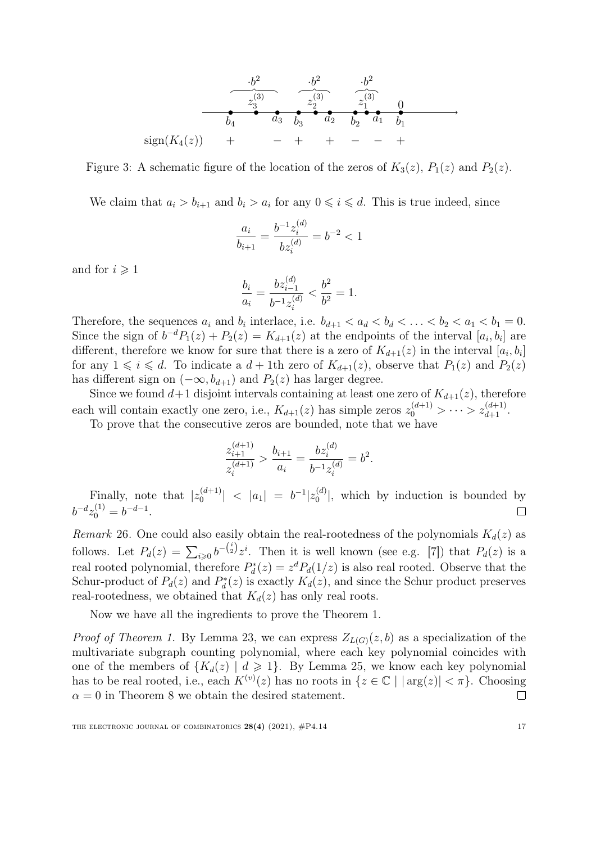<span id="page-17-0"></span>

Figure 3: A schematic figure of the location of the zeros of  $K_3(z)$ ,  $P_1(z)$  and  $P_2(z)$ .

We claim that  $a_i > b_{i+1}$  and  $b_i > a_i$  for any  $0 \leq i \leq d$ . This is true indeed, since

$$
\frac{a_i}{b_{i+1}} = \frac{b^{-1}z_i^{(d)}}{bz_i^{(d)}} = b^{-2} < 1
$$

and for  $i \geqslant 1$ 

$$
\frac{b_i}{a_i} = \frac{bz_{i-1}^{(d)}}{b^{-1}z_i^{(d)}} < \frac{b^2}{b^2} = 1.
$$

Therefore, the sequences  $a_i$  and  $b_i$  interlace, i.e.  $b_{d+1} < a_d < b_d < \ldots < b_2 < a_1 < b_1 = 0$ . Since the sign of  $b^{-d}P_1(z) + P_2(z) = K_{d+1}(z)$  at the endpoints of the interval  $[a_i, b_i]$  are different, therefore we know for sure that there is a zero of  $K_{d+1}(z)$  in the interval  $[a_i, b_i]$ for any  $1 \leq i \leq d$ . To indicate a  $d + 1$ th zero of  $K_{d+1}(z)$ , observe that  $P_1(z)$  and  $P_2(z)$ has different sign on  $(-\infty, b_{d+1})$  and  $P_2(z)$  has larger degree.

Since we found  $d+1$  disjoint intervals containing at least one zero of  $K_{d+1}(z)$ , therefore each will contain exactly one zero, i.e.,  $K_{d+1}(z)$  has simple zeros  $z_0^{(d+1)} > \cdots > z_{d+1}^{(d+1)}$ .

To prove that the consecutive zeros are bounded, note that we have

$$
\frac{z_{i+1}^{(d+1)}}{z_i^{(d+1)}} > \frac{b_{i+1}}{a_i} = \frac{bz_i^{(d)}}{b^{-1}z_i^{(d)}} = b^2
$$

.

Finally, note that  $|z_0^{(d+1)}|$  $\left|\begin{array}{cc} (d+1)\ 0 \end{array}\right| \begin{array}{cc} <\ |a_1| \end{array} = \begin{array}{cc} b^{-1}|z_0^{(d)} \end{array}$  $\binom{a}{0}$ , which by induction is bounded by  $b^{-d}z_0^{(1)} = b^{-d-1}.$  $\Box$ 

Remark 26. One could also easily obtain the real-rootedness of the polynomials  $K_d(z)$  as follows. Let  $P_d(z) = \sum_{i\geqslant 0} b^{-\binom{i}{2}} z^i$ . Then it is well known (see e.g. [\[7\]](#page-20-10)) that  $P_d(z)$  is a real rooted polynomial, therefore  $P_d^*(z) = z^d P_d(1/z)$  is also real rooted. Observe that the Schur-product of  $P_d(z)$  and  $P_d^*(z)$  is exactly  $K_d(z)$ , and since the Schur product preserves real-rootedness, we obtained that  $K_d(z)$  has only real roots.

Now we have all the ingredients to prove the Theorem [1.](#page-2-0)

*Proof of Theorem [1.](#page-2-0)* By Lemma [23,](#page-15-0) we can express  $Z_{L(G)}(z, b)$  as a specialization of the multivariate subgraph counting polynomial, where each key polynomial coincides with one of the members of  ${K_d(z) | d \geq 1}$ . By Lemma [25,](#page-16-1) we know each key polynomial has to be real rooted, i.e., each  $K^{(v)}(z)$  has no roots in  $\{z \in \mathbb{C} \mid |\arg(z)| < \pi\}$ . Choosing  $\alpha = 0$  in Theorem [8](#page-7-0) we obtain the desired statement.  $\Box$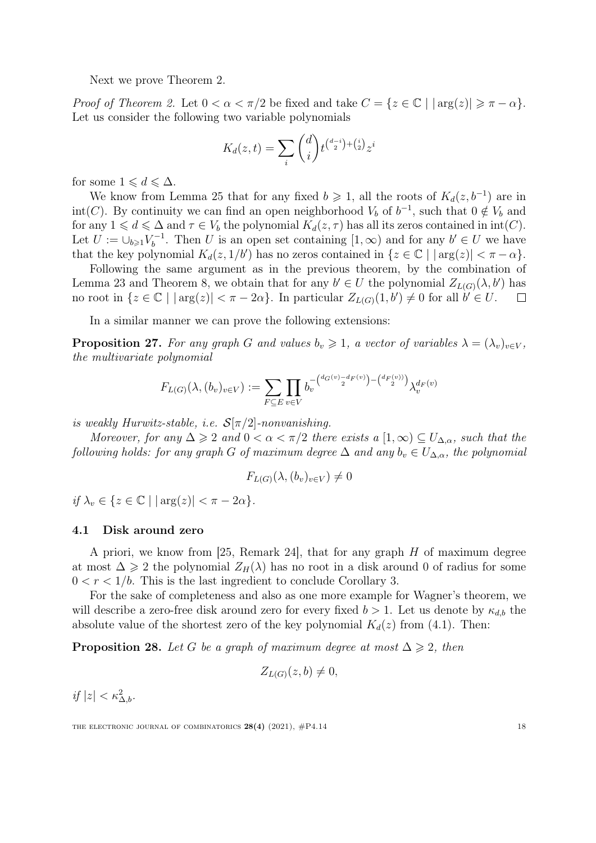Next we prove Theorem [2.](#page-3-0)

*Proof of Theorem [2.](#page-3-0)* Let  $0 < \alpha < \pi/2$  be fixed and take  $C = \{z \in \mathbb{C} \mid |\arg(z)| \geq \pi - \alpha\}.$ Let us consider the following two variable polynomials

$$
K_d(z,t) = \sum_i \binom{d}{i} t^{\binom{d-i}{2} + \binom{i}{2}} z^i
$$

for some  $1 \leqslant d \leqslant \Delta$ .

We know from Lemma [25](#page-16-1) that for any fixed  $b \geq 1$ , all the roots of  $K_d(z, b^{-1})$  are in int(C). By continuity we can find an open neighborhood  $V_b$  of  $b^{-1}$ , such that  $0 \notin V_b$  and for any  $1 \leq d \leq \Delta$  and  $\tau \in V_b$  the polynomial  $K_d(z, \tau)$  has all its zeros contained in int(C). Let  $U := \cup_{b \geqslant 1} V_b^{-1}$  $b<sup>-1</sup>$ . Then U is an open set containing  $[1, \infty)$  and for any  $b' \in U$  we have that the key polynomial  $K_d(z, 1/b')$  has no zeros contained in  $\{z \in \mathbb{C} \mid |\arg(z)| < \pi - \alpha\}.$ 

Following the same argument as in the previous theorem, by the combination of Lemma [23](#page-15-0) and Theorem [8,](#page-7-0) we obtain that for any  $b' \in U$  the polynomial  $Z_{L(G)}(\lambda, b')$  has no root in  $\{z \in \mathbb{C} \mid |\arg(z)| < \pi - 2\alpha\}$ . In particular  $Z_{L(G)}(1, b') \neq 0$  for all  $b' \in U$ .  $\Box$ 

In a similar manner we can prove the following extensions:

**Proposition 27.** For any graph G and values  $b_v \geq 1$ , a vector of variables  $\lambda = (\lambda_v)_{v \in V}$ , the multivariate polynomial

$$
F_{L(G)}(\lambda, (b_v)_{v \in V}) := \sum_{F \subseteq E} \prod_{v \in V} b_v^{-\binom{d_G(v) - d_F(v))}{2} - \binom{d_F(v)}{2}} \lambda_v^{d_F(v)}
$$

is weakly Hurwitz-stable, i.e.  $\mathcal{S}[\pi/2]$ -nonvanishing.

Moreover, for any  $\Delta \geq 2$  and  $0 < \alpha < \pi/2$  there exists a  $[1,\infty) \subseteq U_{\Delta,\alpha}$ , such that the following holds: for any graph G of maximum degree  $\Delta$  and any  $b_v \in U_{\Delta,\alpha}$ , the polynomial

$$
F_{L(G)}(\lambda, (b_v)_{v \in V}) \neq 0
$$

if  $\lambda_v \in \{z \in \mathbb{C} \mid |\arg(z)| < \pi - 2\alpha\}.$ 

#### 4.1 Disk around zero

A priori, we know from [\[25,](#page-21-9) Remark 24], that for any graph  $H$  of maximum degree at most  $\Delta \geq 2$  the polynomial  $Z_H(\lambda)$  has no root in a disk around 0 of radius for some  $0 < r < 1/b$ . This is the last ingredient to conclude Corollary [3.](#page-3-2)

For the sake of completeness and also as one more example for Wagner's theorem, we will describe a zero-free disk around zero for every fixed  $b > 1$ . Let us denote by  $\kappa_{d,b}$  the absolute value of the shortest zero of the key polynomial  $K_d(z)$  from [\(4.1\)](#page-16-2). Then:

**Proposition 28.** Let G be a graph of maximum degree at most  $\Delta \geq 2$ , then

$$
Z_{L(G)}(z,b) \neq 0,
$$

if  $|z| < \kappa_{\Delta,b}^2$ .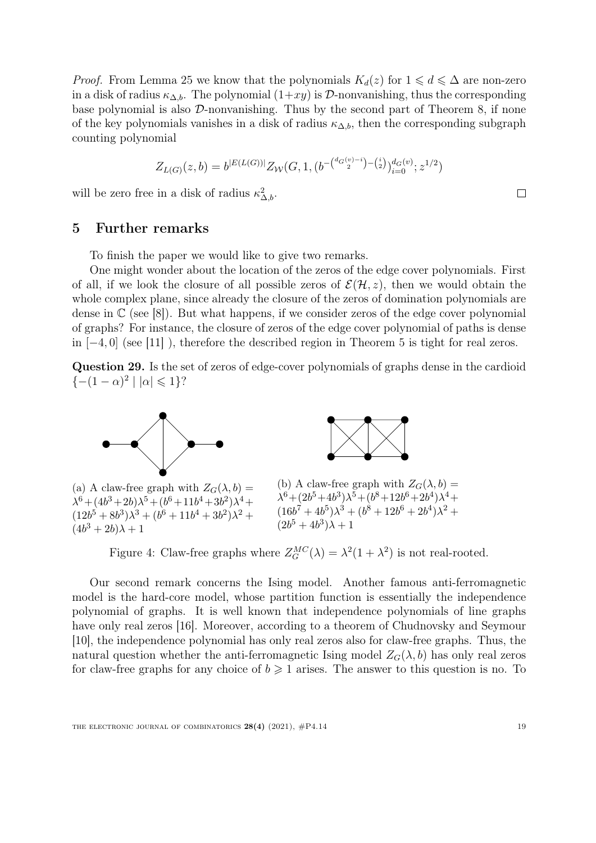*Proof.* From Lemma [25](#page-16-1) we know that the polynomials  $K_d(z)$  for  $1 \leq d \leq \Delta$  are non-zero in a disk of radius  $\kappa_{\Delta,b}$ . The polynomial  $(1+xy)$  is  $\mathcal{D}$ -nonvanishing, thus the corresponding base polynomial is also D-nonvanishing. Thus by the second part of Theorem [8,](#page-7-0) if none of the key polynomials vanishes in a disk of radius  $\kappa_{\Delta,b}$ , then the corresponding subgraph counting polynomial

$$
Z_{L(G)}(z,b) = b^{|E(L(G))|} Z_W(G, 1, (b^{-\binom{d_G(v)-i}{2}-\binom{i}{2}})^{d_G(v)}_{i=0}; z^{1/2})
$$

will be zero free in a disk of radius  $\kappa_{\Delta,b}^2$ .

## 5 Further remarks

To finish the paper we would like to give two remarks.

One might wonder about the location of the zeros of the edge cover polynomials. First of all, if we look the closure of all possible zeros of  $\mathcal{E}(\mathcal{H}, z)$ , then we would obtain the whole complex plane, since already the closure of the zeros of domination polynomials are dense in  $\mathbb{C}$  (see [\[8\]](#page-20-11)). But what happens, if we consider zeros of the edge cover polynomial of graphs? For instance, the closure of zeros of the edge cover polynomial of paths is dense in  $[-4, 0]$  (see [\[11\]](#page-20-4)), therefore the described region in Theorem [5](#page-4-1) is tight for real zeros.

Question 29. Is the set of zeros of edge-cover polynomials of graphs dense in the cardioid { $-(1 - \alpha)^2$  |  $|\alpha|$  ≤ 1}?

<span id="page-19-0"></span>



(a) A claw-free graph with  $Z_G(\lambda, b) =$  $\lambda^6 + (4b^3 + 2b)\lambda^5 + (b^6 + 11b^4 + 3b^2)\lambda^4 +$  $(12b^5 + 8b^3)\lambda^3 + (b^6 + 11b^4 + 3b^2)\lambda^2 +$  $(4b^3+2b)\lambda+1$ 



Figure 4: Claw-free graphs where  $Z_G^{MC}(\lambda) = \lambda^2(1 + \lambda^2)$  is not real-rooted.

Our second remark concerns the Ising model. Another famous anti-ferromagnetic model is the hard-core model, whose partition function is essentially the independence polynomial of graphs. It is well known that independence polynomials of line graphs have only real zeros [\[16\]](#page-21-14). Moreover, according to a theorem of Chudnovsky and Seymour [\[10\]](#page-20-12), the independence polynomial has only real zeros also for claw-free graphs. Thus, the natural question whether the anti-ferromagnetic Ising model  $Z_G(\lambda, b)$  has only real zeros for claw-free graphs for any choice of  $b \geq 1$  arises. The answer to this question is no. To

 $\Box$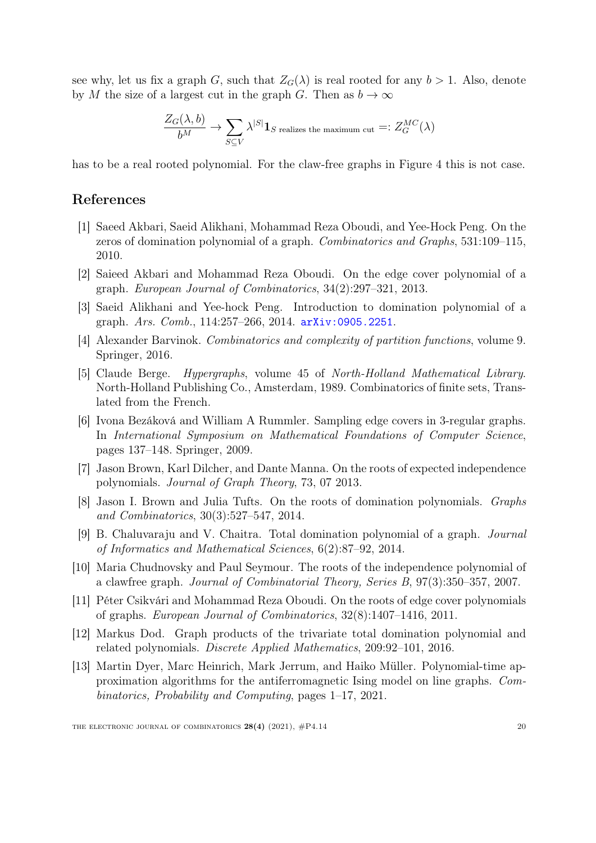see why, let us fix a graph G, such that  $Z_G(\lambda)$  is real rooted for any  $b > 1$ . Also, denote by M the size of a largest cut in the graph G. Then as  $b \to \infty$ 

$$
\frac{Z_G(\lambda, b)}{b^M} \to \sum_{S \subseteq V} \lambda^{|S|} \mathbf{1}_{S \text{ realizes the maximum cut}} =: Z_G^{MC}(\lambda)
$$

has to be a real rooted polynomial. For the claw-free graphs in Figure [4](#page-19-0) this is not case.

## References

- <span id="page-20-7"></span>[1] Saeed Akbari, Saeid Alikhani, Mohammad Reza Oboudi, and Yee-Hock Peng. On the zeros of domination polynomial of a graph. Combinatorics and Graphs, 531:109–115, 2010.
- <span id="page-20-3"></span>[2] Saieed Akbari and Mohammad Reza Oboudi. On the edge cover polynomial of a graph. European Journal of Combinatorics, 34(2):297–321, 2013.
- <span id="page-20-6"></span>[3] Saeid Alikhani and Yee-hock Peng. Introduction to domination polynomial of a graph. Ars. Comb., 114:257–266, 2014. [arXiv:0905.2251](https://arxiv.org/abs/0905.2251).
- <span id="page-20-0"></span>[4] Alexander Barvinok. Combinatorics and complexity of partition functions, volume 9. Springer, 2016.
- <span id="page-20-5"></span>[5] Claude Berge. Hypergraphs, volume 45 of North-Holland Mathematical Library. North-Holland Publishing Co., Amsterdam, 1989. Combinatorics of finite sets, Translated from the French.
- <span id="page-20-2"></span>[6] Ivona Bezáková and William A Rummler. Sampling edge covers in 3-regular graphs. In International Symposium on Mathematical Foundations of Computer Science, pages 137–148. Springer, 2009.
- <span id="page-20-10"></span>[7] Jason Brown, Karl Dilcher, and Dante Manna. On the roots of expected independence polynomials. Journal of Graph Theory, 73, 07 2013.
- <span id="page-20-11"></span>[8] Jason I. Brown and Julia Tufts. On the roots of domination polynomials. Graphs and Combinatorics, 30(3):527–547, 2014.
- <span id="page-20-8"></span>[9] B. Chaluvaraju and V. Chaitra. Total domination polynomial of a graph. Journal of Informatics and Mathematical Sciences, 6(2):87–92, 2014.
- <span id="page-20-12"></span>[10] Maria Chudnovsky and Paul Seymour. The roots of the independence polynomial of a clawfree graph. Journal of Combinatorial Theory, Series B, 97(3):350–357, 2007.
- <span id="page-20-4"></span>[11] Péter Csikvári and Mohammad Reza Oboudi. On the roots of edge cover polynomials of graphs. European Journal of Combinatorics, 32(8):1407–1416, 2011.
- <span id="page-20-9"></span>[12] Markus Dod. Graph products of the trivariate total domination polynomial and related polynomials. Discrete Applied Mathematics, 209:92–101, 2016.
- <span id="page-20-1"></span>[13] Martin Dyer, Marc Heinrich, Mark Jerrum, and Haiko Müller. Polynomial-time approximation algorithms for the antiferromagnetic Ising model on line graphs. Combinatorics, Probability and Computing, pages 1–17, 2021.